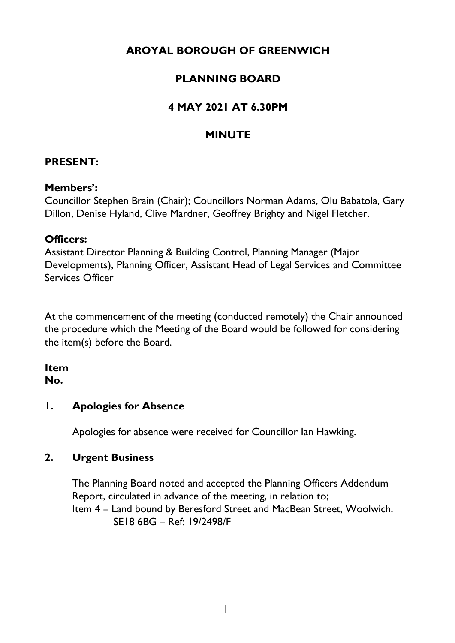# **AROYAL BOROUGH OF GREENWICH**

# **PLANNING BOARD**

# **4 MAY 2021 AT 6.30PM**

## **MINUTE**

## **PRESENT:**

#### **Members':**

Councillor Stephen Brain (Chair); Councillors Norman Adams, Olu Babatola, Gary Dillon, Denise Hyland, Clive Mardner, Geoffrey Brighty and Nigel Fletcher.

### **Officers:**

Assistant Director Planning & Building Control, Planning Manager (Major Developments), Planning Officer, Assistant Head of Legal Services and Committee Services Officer

At the commencement of the meeting (conducted remotely) the Chair announced the procedure which the Meeting of the Board would be followed for considering the item(s) before the Board.

# **Item**

## **No.**

## **1. Apologies for Absence**

Apologies for absence were received for Councillor Ian Hawking.

### **2. Urgent Business**

The Planning Board noted and accepted the Planning Officers Addendum Report, circulated in advance of the meeting, in relation to; Item 4 – Land bound by Beresford Street and MacBean Street, Woolwich. SE18 6BG – Ref: 19/2498/F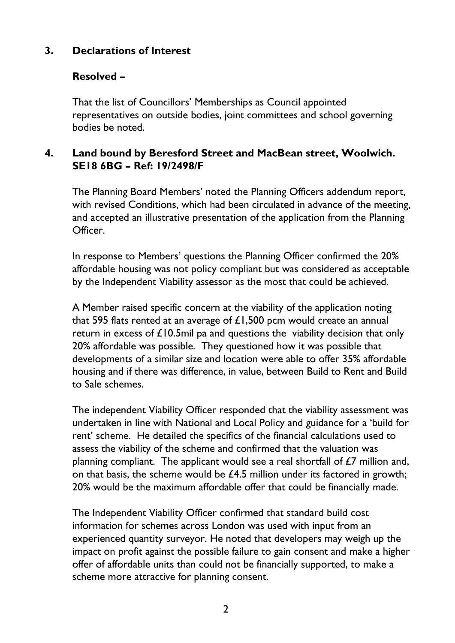## **3. Declarations of Interest**

## **Resolved –**

That the list of Councillors' Memberships as Council appointed representatives on outside bodies, joint committees and school governing bodies be noted.

## **4. Land bound by Beresford Street and MacBean street, Woolwich. SE18 6BG – Ref: 19/2498/F**

The Planning Board Members' noted the Planning Officers addendum report, with revised Conditions, which had been circulated in advance of the meeting, and accepted an illustrative presentation of the application from the Planning Officer.

In response to Members' questions the Planning Officer confirmed the 20% affordable housing was not policy compliant but was considered as acceptable by the Independent Viability assessor as the most that could be achieved.

A Member raised specific concern at the viability of the application noting that 595 flats rented at an average of  $£1,500$  pcm would create an annual return in excess of  $\pounds$ 10.5mil pa and questions the viability decision that only 20% affordable was possible. They questioned how it was possible that developments of a similar size and location were able to offer 35% affordable housing and if there was difference, in value, between Build to Rent and Build to Sale schemes.

The independent Viability Officer responded that the viability assessment was undertaken in line with National and Local Policy and guidance for a 'build for rent' scheme. He detailed the specifics of the financial calculations used to assess the viability of the scheme and confirmed that the valuation was planning compliant. The applicant would see a real shortfall of  $E7$  million and, on that basis, the scheme would be  $£4.5$  million under its factored in growth; 20% would be the maximum affordable offer that could be financially made.

The Independent Viability Officer confirmed that standard build cost information for schemes across London was used with input from an experienced quantity surveyor. He noted that developers may weigh up the impact on profit against the possible failure to gain consent and make a higher offer of affordable units than could not be financially supported, to make a scheme more attractive for planning consent.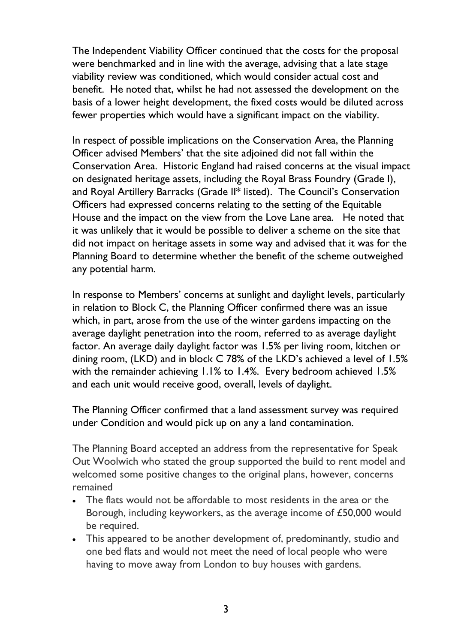The Independent Viability Officer continued that the costs for the proposal were benchmarked and in line with the average, advising that a late stage viability review was conditioned, which would consider actual cost and benefit. He noted that, whilst he had not assessed the development on the basis of a lower height development, the fixed costs would be diluted across fewer properties which would have a significant impact on the viability.

In respect of possible implications on the Conservation Area, the Planning Officer advised Members' that the site adjoined did not fall within the Conservation Area. Historic England had raised concerns at the visual impact on designated heritage assets, including the Royal Brass Foundry (Grade I), and Royal Artillery Barracks (Grade II\* listed). The Council's Conservation Officers had expressed concerns relating to the setting of the Equitable House and the impact on the view from the Love Lane area. He noted that it was unlikely that it would be possible to deliver a scheme on the site that did not impact on heritage assets in some way and advised that it was for the Planning Board to determine whether the benefit of the scheme outweighed any potential harm.

In response to Members' concerns at sunlight and daylight levels, particularly in relation to Block C, the Planning Officer confirmed there was an issue which, in part, arose from the use of the winter gardens impacting on the average daylight penetration into the room, referred to as average daylight factor. An average daily daylight factor was 1.5% per living room, kitchen or dining room, (LKD) and in block C 78% of the LKD's achieved a level of 1.5% with the remainder achieving 1.1% to 1.4%. Every bedroom achieved 1.5% and each unit would receive good, overall, levels of daylight.

The Planning Officer confirmed that a land assessment survey was required under Condition and would pick up on any a land contamination.

The Planning Board accepted an address from the representative for Speak Out Woolwich who stated the group supported the build to rent model and welcomed some positive changes to the original plans, however, concerns remained

- The flats would not be affordable to most residents in the area or the Borough, including keyworkers, as the average income of £50,000 would be required.
- This appeared to be another development of, predominantly, studio and one bed flats and would not meet the need of local people who were having to move away from London to buy houses with gardens.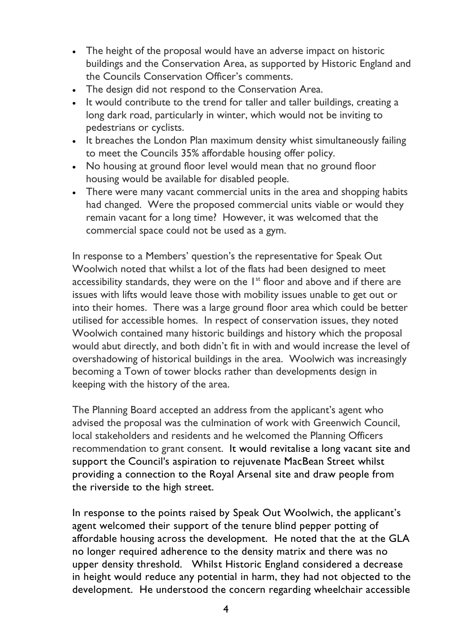- The height of the proposal would have an adverse impact on historic buildings and the Conservation Area, as supported by Historic England and the Councils Conservation Officer's comments.
- The design did not respond to the Conservation Area.
- It would contribute to the trend for taller and taller buildings, creating a long dark road, particularly in winter, which would not be inviting to pedestrians or cyclists.
- It breaches the London Plan maximum density whist simultaneously failing to meet the Councils 35% affordable housing offer policy.
- No housing at ground floor level would mean that no ground floor housing would be available for disabled people.
- There were many vacant commercial units in the area and shopping habits had changed. Were the proposed commercial units viable or would they remain vacant for a long time? However, it was welcomed that the commercial space could not be used as a gym.

In response to a Members' question's the representative for Speak Out Woolwich noted that whilst a lot of the flats had been designed to meet accessibility standards, they were on the  $1<sup>st</sup>$  floor and above and if there are issues with lifts would leave those with mobility issues unable to get out or into their homes. There was a large ground floor area which could be better utilised for accessible homes. In respect of conservation issues, they noted Woolwich contained many historic buildings and history which the proposal would abut directly, and both didn't fit in with and would increase the level of overshadowing of historical buildings in the area. Woolwich was increasingly becoming a Town of tower blocks rather than developments design in keeping with the history of the area.

The Planning Board accepted an address from the applicant's agent who advised the proposal was the culmination of work with Greenwich Council, local stakeholders and residents and he welcomed the Planning Officers recommendation to grant consent. It would revitalise a long vacant site and support the Council's aspiration to rejuvenate MacBean Street whilst providing a connection to the Royal Arsenal site and draw people from the riverside to the high street.

In response to the points raised by Speak Out Woolwich, the applicant's agent welcomed their support of the tenure blind pepper potting of affordable housing across the development. He noted that the at the GLA no longer required adherence to the density matrix and there was no upper density threshold. Whilst Historic England considered a decrease in height would reduce any potential in harm, they had not objected to the development. He understood the concern regarding wheelchair accessible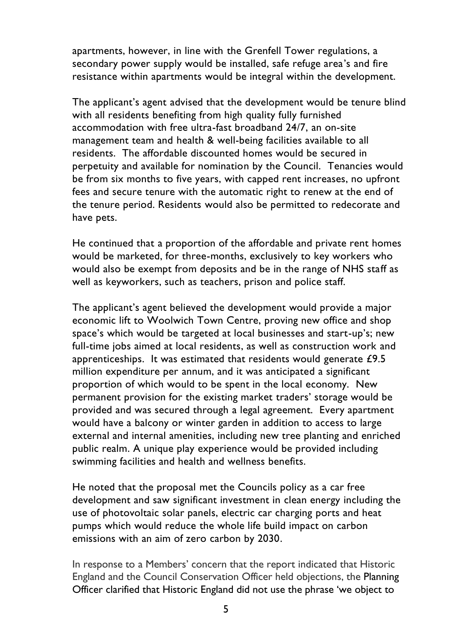apartments, however, in line with the Grenfell Tower regulations, a secondary power supply would be installed, safe refuge area's and fire resistance within apartments would be integral within the development.

The applicant's agent advised that the development would be tenure blind with all residents benefiting from high quality fully furnished accommodation with free ultra-fast broadband 24/7, an on-site management team and health & well-being facilities available to all residents. The affordable discounted homes would be secured in perpetuity and available for nomination by the Council. Tenancies would be from six months to five years, with capped rent increases, no upfront fees and secure tenure with the automatic right to renew at the end of the tenure period. Residents would also be permitted to redecorate and have pets.

He continued that a proportion of the affordable and private rent homes would be marketed, for three-months, exclusively to key workers who would also be exempt from deposits and be in the range of NHS staff as well as keyworkers, such as teachers, prison and police staff.

The applicant's agent believed the development would provide a major economic lift to Woolwich Town Centre, proving new office and shop space's which would be targeted at local businesses and start-up's; new full-time jobs aimed at local residents, as well as construction work and apprenticeships. It was estimated that residents would generate £9.5 million expenditure per annum, and it was anticipated a significant proportion of which would to be spent in the local economy. New permanent provision for the existing market traders' storage would be provided and was secured through a legal agreement. Every apartment would have a balcony or winter garden in addition to access to large external and internal amenities, including new tree planting and enriched public realm. A unique play experience would be provided including swimming facilities and health and wellness benefits.

He noted that the proposal met the Councils policy as a car free development and saw significant investment in clean energy including the use of photovoltaic solar panels, electric car charging ports and heat pumps which would reduce the whole life build impact on carbon emissions with an aim of zero carbon by 2030.

In response to a Members' concern that the report indicated that Historic England and the Council Conservation Officer held objections, the Planning Officer clarified that Historic England did not use the phrase 'we object to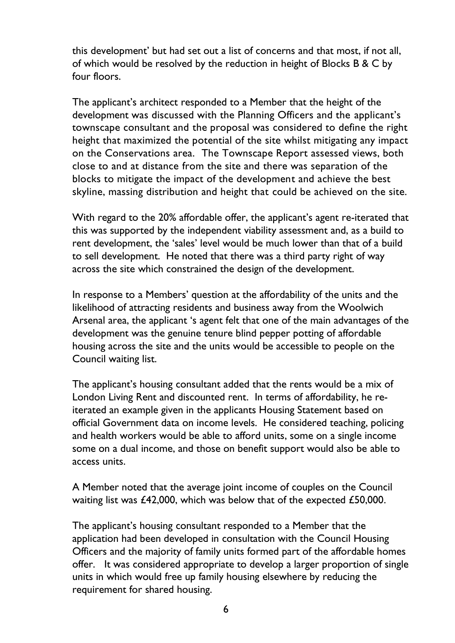this development' but had set out a list of concerns and that most, if not all, of which would be resolved by the reduction in height of Blocks B & C by four floors.

The applicant's architect responded to a Member that the height of the development was discussed with the Planning Officers and the applicant's townscape consultant and the proposal was considered to define the right height that maximized the potential of the site whilst mitigating any impact on the Conservations area. The Townscape Report assessed views, both close to and at distance from the site and there was separation of the blocks to mitigate the impact of the development and achieve the best skyline, massing distribution and height that could be achieved on the site.

With regard to the 20% affordable offer, the applicant's agent re-iterated that this was supported by the independent viability assessment and, as a build to rent development, the 'sales' level would be much lower than that of a build to sell development. He noted that there was a third party right of way across the site which constrained the design of the development.

In response to a Members' question at the affordability of the units and the likelihood of attracting residents and business away from the Woolwich Arsenal area, the applicant 's agent felt that one of the main advantages of the development was the genuine tenure blind pepper potting of affordable housing across the site and the units would be accessible to people on the Council waiting list.

The applicant's housing consultant added that the rents would be a mix of London Living Rent and discounted rent. In terms of affordability, he reiterated an example given in the applicants Housing Statement based on official Government data on income levels. He considered teaching, policing and health workers would be able to afford units, some on a single income some on a dual income, and those on benefit support would also be able to access units.

A Member noted that the average joint income of couples on the Council waiting list was £42,000, which was below that of the expected £50,000.

The applicant's housing consultant responded to a Member that the application had been developed in consultation with the Council Housing Officers and the majority of family units formed part of the affordable homes offer. It was considered appropriate to develop a larger proportion of single units in which would free up family housing elsewhere by reducing the requirement for shared housing.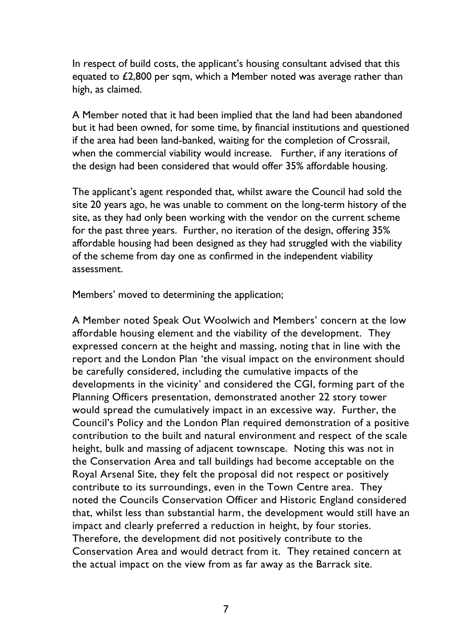In respect of build costs, the applicant's housing consultant advised that this equated to £2,800 per sqm, which a Member noted was average rather than high, as claimed.

A Member noted that it had been implied that the land had been abandoned but it had been owned, for some time, by financial institutions and questioned if the area had been land-banked, waiting for the completion of Crossrail, when the commercial viability would increase. Further, if any iterations of the design had been considered that would offer 35% affordable housing.

The applicant's agent responded that, whilst aware the Council had sold the site 20 years ago, he was unable to comment on the long-term history of the site, as they had only been working with the vendor on the current scheme for the past three years. Further, no iteration of the design, offering 35% affordable housing had been designed as they had struggled with the viability of the scheme from day one as confirmed in the independent viability assessment.

Members' moved to determining the application;

A Member noted Speak Out Woolwich and Members' concern at the low affordable housing element and the viability of the development. They expressed concern at the height and massing, noting that in line with the report and the London Plan 'the visual impact on the environment should be carefully considered, including the cumulative impacts of the developments in the vicinity' and considered the CGI, forming part of the Planning Officers presentation, demonstrated another 22 story tower would spread the cumulatively impact in an excessive way. Further, the Council's Policy and the London Plan required demonstration of a positive contribution to the built and natural environment and respect of the scale height, bulk and massing of adjacent townscape. Noting this was not in the Conservation Area and tall buildings had become acceptable on the Royal Arsenal Site, they felt the proposal did not respect or positively contribute to its surroundings, even in the Town Centre area. They noted the Councils Conservation Officer and Historic England considered that, whilst less than substantial harm, the development would still have an impact and clearly preferred a reduction in height, by four stories. Therefore, the development did not positively contribute to the Conservation Area and would detract from it. They retained concern at the actual impact on the view from as far away as the Barrack site.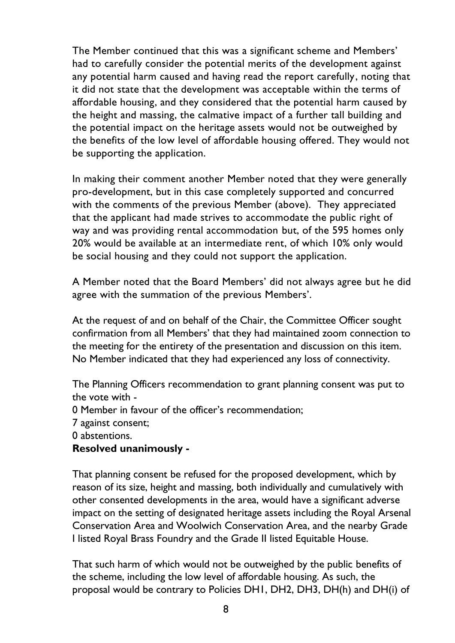The Member continued that this was a significant scheme and Members' had to carefully consider the potential merits of the development against any potential harm caused and having read the report carefully, noting that it did not state that the development was acceptable within the terms of affordable housing, and they considered that the potential harm caused by the height and massing, the calmative impact of a further tall building and the potential impact on the heritage assets would not be outweighed by the benefits of the low level of affordable housing offered. They would not be supporting the application.

In making their comment another Member noted that they were generally pro-development, but in this case completely supported and concurred with the comments of the previous Member (above). They appreciated that the applicant had made strives to accommodate the public right of way and was providing rental accommodation but, of the 595 homes only 20% would be available at an intermediate rent, of which 10% only would be social housing and they could not support the application.

A Member noted that the Board Members' did not always agree but he did agree with the summation of the previous Members'.

At the request of and on behalf of the Chair, the Committee Officer sought confirmation from all Members' that they had maintained zoom connection to the meeting for the entirety of the presentation and discussion on this item. No Member indicated that they had experienced any loss of connectivity.

The Planning Officers recommendation to grant planning consent was put to the vote with -

- 0 Member in favour of the officer's recommendation;
- 7 against consent;
- 0 abstentions.

### **Resolved unanimously -**

That planning consent be refused for the proposed development, which by reason of its size, height and massing, both individually and cumulatively with other consented developments in the area, would have a significant adverse impact on the setting of designated heritage assets including the Royal Arsenal Conservation Area and Woolwich Conservation Area, and the nearby Grade I listed Royal Brass Foundry and the Grade II listed Equitable House.

That such harm of which would not be outweighed by the public benefits of the scheme, including the low level of affordable housing. As such, the proposal would be contrary to Policies DH1, DH2, DH3, DH(h) and DH(i) of